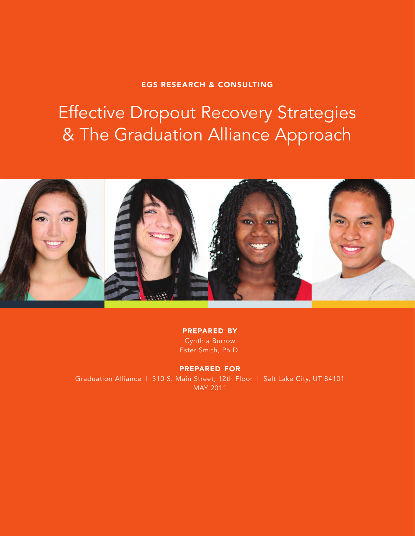#### EGS RESEARCH & CONSULTING

# Effective Dropout Recovery Strategies & The Graduation Alliance Approach



prepared by Cynthia Burrow Ester Smith, Ph.D.

prepared for Graduation Alliance | 310 S. Main Street, 12th Floor | Salt Lake City, UT 84101 MAY 2011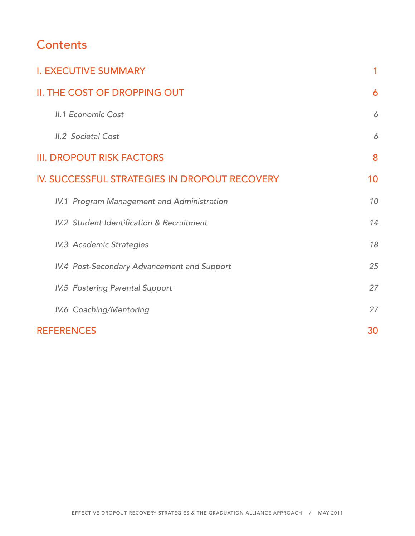# **Contents**

| <b>I. EXECUTIVE SUMMARY</b>                          | 1  |
|------------------------------------------------------|----|
| II. THE COST OF DROPPING OUT                         | 6  |
| <b>II.1 Economic Cost</b>                            | 6  |
| <b>II.2 Societal Cost</b>                            | 6  |
| <b>III. DROPOUT RISK FACTORS</b>                     | 8  |
| IV. SUCCESSFUL STRATEGIES IN DROPOUT RECOVERY        | 10 |
| IV.1 Program Management and Administration           | 10 |
| <b>IV.2 Student Identification &amp; Recruitment</b> | 14 |
| <b>IV.3 Academic Strategies</b>                      | 18 |
| IV.4 Post-Secondary Advancement and Support          | 25 |
| <b>IV.5 Fostering Parental Support</b>               | 27 |
| IV.6 Coaching/Mentoring                              | 27 |
| <b>REFERENCES</b>                                    | 30 |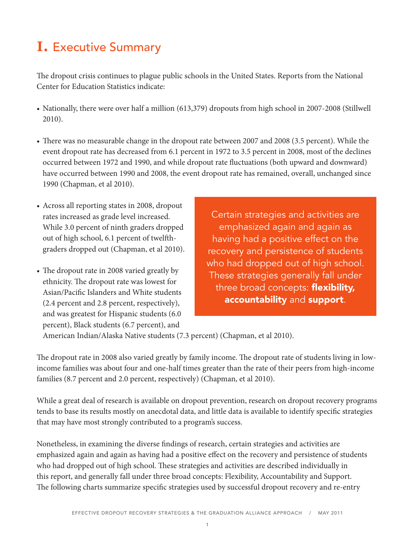# **i.** Executive Summary

The dropout crisis continues to plague public schools in the United States. Reports from the National Center for Education Statistics indicate:

- Nationally, there were over half a million (613,379) dropouts from high school in 2007-2008 (Stillwell 2010).
- There was no measurable change in the dropout rate between 2007 and 2008 (3.5 percent). While the event dropout rate has decreased from 6.1 percent in 1972 to 3.5 percent in 2008, most of the declines occurred between 1972 and 1990, and while dropout rate fluctuations (both upward and downward) have occurred between 1990 and 2008, the event dropout rate has remained, overall, unchanged since 1990 (Chapman, et al 2010).
- Across all reporting states in 2008, dropout rates increased as grade level increased. While 3.0 percent of ninth graders dropped out of high school, 6.1 percent of twelfthgraders dropped out (Chapman, et al 2010).
- The dropout rate in 2008 varied greatly by ethnicity. The dropout rate was lowest for Asian/Pacific Islanders and White students (2.4 percent and 2.8 percent, respectively), and was greatest for Hispanic students (6.0 percent), Black students (6.7 percent), and

Certain strategies and activities are emphasized again and again as having had a positive effect on the recovery and persistence of students who had dropped out of high school. These strategies generally fall under three broad concepts: flexibility, accountability and support.

American Indian/Alaska Native students (7.3 percent) (Chapman, et al 2010).

The dropout rate in 2008 also varied greatly by family income. The dropout rate of students living in lowincome families was about four and one-half times greater than the rate of their peers from high-income families (8.7 percent and 2.0 percent, respectively) (Chapman, et al 2010).

While a great deal of research is available on dropout prevention, research on dropout recovery programs tends to base its results mostly on anecdotal data, and little data is available to identify specific strategies that may have most strongly contributed to a program's success.

Nonetheless, in examining the diverse findings of research, certain strategies and activities are emphasized again and again as having had a positive effect on the recovery and persistence of students who had dropped out of high school. These strategies and activities are described individually in this report, and generally fall under three broad concepts: Flexibility, Accountability and Support. The following charts summarize specific strategies used by successful dropout recovery and re-entry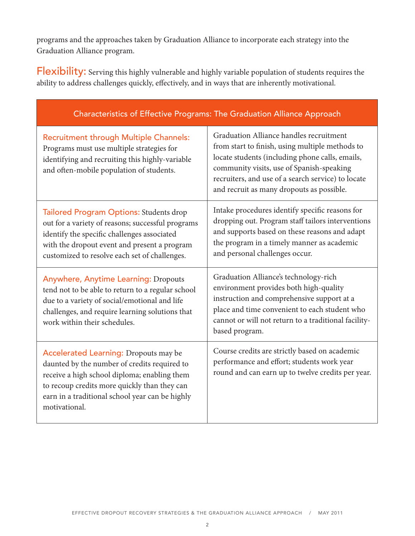programs and the approaches taken by Graduation Alliance to incorporate each strategy into the Graduation Alliance program.

Flexibility: Serving this highly vulnerable and highly variable population of students requires the ability to address challenges quickly, effectively, and in ways that are inherently motivational.

| Characteristics of Effective Programs: The Graduation Alliance Approach                                                                                                                                                                                          |                                                                                                                                                                                                                                                                                               |
|------------------------------------------------------------------------------------------------------------------------------------------------------------------------------------------------------------------------------------------------------------------|-----------------------------------------------------------------------------------------------------------------------------------------------------------------------------------------------------------------------------------------------------------------------------------------------|
| <b>Recruitment through Multiple Channels:</b><br>Programs must use multiple strategies for<br>identifying and recruiting this highly-variable<br>and often-mobile population of students.                                                                        | Graduation Alliance handles recruitment<br>from start to finish, using multiple methods to<br>locate students (including phone calls, emails,<br>community visits, use of Spanish-speaking<br>recruiters, and use of a search service) to locate<br>and recruit as many dropouts as possible. |
| <b>Tailored Program Options: Students drop</b><br>out for a variety of reasons; successful programs<br>identify the specific challenges associated<br>with the dropout event and present a program<br>customized to resolve each set of challenges.              | Intake procedures identify specific reasons for<br>dropping out. Program staff tailors interventions<br>and supports based on these reasons and adapt<br>the program in a timely manner as academic<br>and personal challenges occur.                                                         |
| <b>Anywhere, Anytime Learning: Dropouts</b><br>tend not to be able to return to a regular school<br>due to a variety of social/emotional and life<br>challenges, and require learning solutions that<br>work within their schedules.                             | Graduation Alliance's technology-rich<br>environment provides both high-quality<br>instruction and comprehensive support at a<br>place and time convenient to each student who<br>cannot or will not return to a traditional facility-<br>based program.                                      |
| <b>Accelerated Learning: Dropouts may be</b><br>daunted by the number of credits required to<br>receive a high school diploma; enabling them<br>to recoup credits more quickly than they can<br>earn in a traditional school year can be highly<br>motivational. | Course credits are strictly based on academic<br>performance and effort; students work year<br>round and can earn up to twelve credits per year.                                                                                                                                              |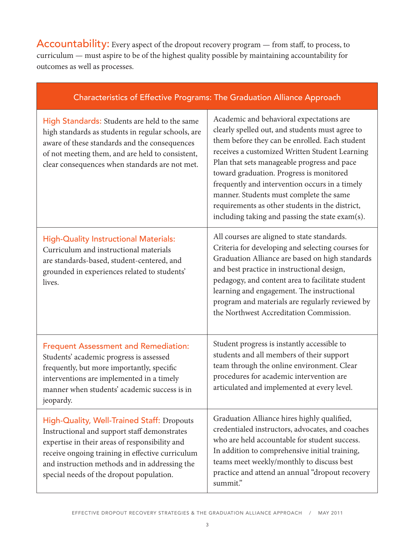Accountability: Every aspect of the dropout recovery program - from staff, to process, to curriculum — must aspire to be of the highest quality possible by maintaining accountability for outcomes as well as processes.

| Characteristics of Effective Programs: The Graduation Alliance Approach |  |
|-------------------------------------------------------------------------|--|
|                                                                         |  |

| High Standards: Students are held to the same<br>high standards as students in regular schools, are<br>aware of these standards and the consequences<br>of not meeting them, and are held to consistent,<br>clear consequences when standards are not met.                                    | Academic and behavioral expectations are<br>clearly spelled out, and students must agree to<br>them before they can be enrolled. Each student<br>receives a customized Written Student Learning<br>Plan that sets manageable progress and pace<br>toward graduation. Progress is monitored<br>frequently and intervention occurs in a timely<br>manner. Students must complete the same<br>requirements as other students in the district,<br>including taking and passing the state exam(s). |
|-----------------------------------------------------------------------------------------------------------------------------------------------------------------------------------------------------------------------------------------------------------------------------------------------|-----------------------------------------------------------------------------------------------------------------------------------------------------------------------------------------------------------------------------------------------------------------------------------------------------------------------------------------------------------------------------------------------------------------------------------------------------------------------------------------------|
| <b>High-Quality Instructional Materials:</b><br>Curriculum and instructional materials<br>are standards-based, student-centered, and<br>grounded in experiences related to students'<br>lives.                                                                                                | All courses are aligned to state standards.<br>Criteria for developing and selecting courses for<br>Graduation Alliance are based on high standards<br>and best practice in instructional design,<br>pedagogy, and content area to facilitate student<br>learning and engagement. The instructional<br>program and materials are regularly reviewed by<br>the Northwest Accreditation Commission.                                                                                             |
| <b>Frequent Assessment and Remediation:</b><br>Students' academic progress is assessed<br>frequently, but more importantly, specific<br>interventions are implemented in a timely<br>manner when students' academic success is in<br>jeopardy.                                                | Student progress is instantly accessible to<br>students and all members of their support<br>team through the online environment. Clear<br>procedures for academic intervention are<br>articulated and implemented at every level.                                                                                                                                                                                                                                                             |
| High-Quality, Well-Trained Staff: Dropouts<br>Instructional and support staff demonstrates<br>expertise in their areas of responsibility and<br>receive ongoing training in effective curriculum<br>and instruction methods and in addressing the<br>special needs of the dropout population. | Graduation Alliance hires highly qualified,<br>credentialed instructors, advocates, and coaches<br>who are held accountable for student success.<br>In addition to comprehensive initial training,<br>teams meet weekly/monthly to discuss best<br>practice and attend an annual "dropout recovery<br>summit."                                                                                                                                                                                |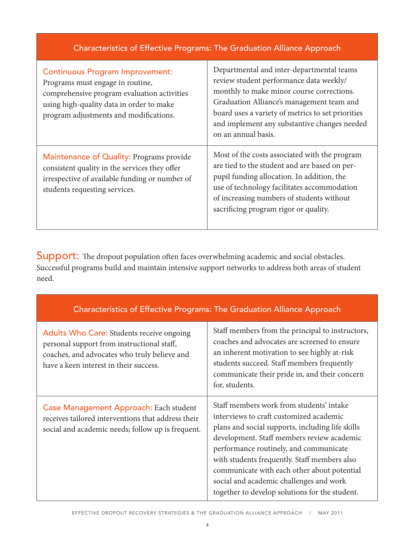| Characteristics of Effective Programs: The Graduation Alliance Approach                                                                                                                                         |                                                                                                                                                                                                                                                                                                            |
|-----------------------------------------------------------------------------------------------------------------------------------------------------------------------------------------------------------------|------------------------------------------------------------------------------------------------------------------------------------------------------------------------------------------------------------------------------------------------------------------------------------------------------------|
| <b>Continuous Program Improvement:</b><br>Programs must engage in routine,<br>comprehensive program evaluation activities<br>using high-quality data in order to make<br>program adjustments and modifications. | Departmental and inter-departmental teams<br>review student performance data weekly/<br>monthly to make minor course corrections.<br>Graduation Alliance's management team and<br>board uses a variety of metrics to set priorities<br>and implement any substantive changes needed<br>on an annual basis. |
| Maintenance of Quality: Programs provide<br>consistent quality in the services they offer<br>irrespective of available funding or number of<br>students requesting services.                                    | Most of the costs associated with the program<br>are tied to the student and are based on per-<br>pupil funding allocation. In addition, the<br>use of technology facilitates accommodation<br>of increasing numbers of students without<br>sacrificing program rigor or quality.                          |

Support: The dropout population often faces overwhelming academic and social obstacles. Successful programs build and maintain intensive support networks to address both areas of student need.

| Characteristics of Effective Programs: The Graduation Alliance Approach                                                                                                           |                                                                                                                                                                                                                                                                                                                                                                                                                             |
|-----------------------------------------------------------------------------------------------------------------------------------------------------------------------------------|-----------------------------------------------------------------------------------------------------------------------------------------------------------------------------------------------------------------------------------------------------------------------------------------------------------------------------------------------------------------------------------------------------------------------------|
| Adults Who Care: Students receive ongoing<br>personal support from instructional staff,<br>coaches, and advocates who truly believe and<br>have a keen interest in their success. | Staff members from the principal to instructors,<br>coaches and advocates are screened to ensure<br>an inherent motivation to see highly at-risk<br>students succeed. Staff members frequently<br>communicate their pride in, and their concern<br>for, students.                                                                                                                                                           |
| Case Management Approach: Each student<br>receives tailored interventions that address their<br>social and academic needs; follow up is frequent.                                 | Staff members work from students' intake<br>interviews to craft customized academic<br>plans and social supports, including life skills<br>development. Staff members review academic<br>performance routinely, and communicate<br>with students frequently. Staff members also<br>communicate with each other about potential<br>social and academic challenges and work<br>together to develop solutions for the student. |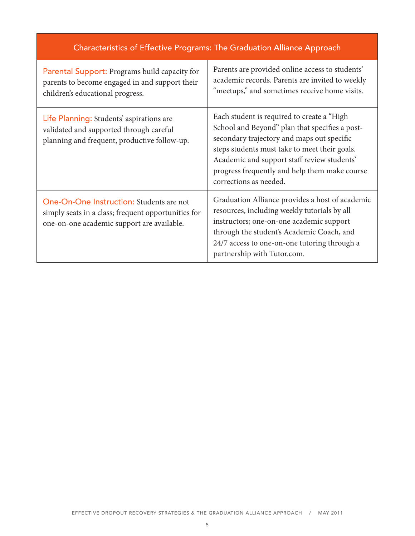| <b>Characteristics of Effective Programs: The Graduation Alliance Approach</b>                                                                |                                                                                                                                                                                                                                                                                                                       |
|-----------------------------------------------------------------------------------------------------------------------------------------------|-----------------------------------------------------------------------------------------------------------------------------------------------------------------------------------------------------------------------------------------------------------------------------------------------------------------------|
| Parental Support: Programs build capacity for<br>parents to become engaged in and support their<br>children's educational progress.           | Parents are provided online access to students'<br>academic records. Parents are invited to weekly<br>"meetups," and sometimes receive home visits.                                                                                                                                                                   |
| Life Planning: Students' aspirations are<br>validated and supported through careful<br>planning and frequent, productive follow-up.           | Each student is required to create a "High<br>School and Beyond" plan that specifies a post-<br>secondary trajectory and maps out specific<br>steps students must take to meet their goals.<br>Academic and support staff review students'<br>progress frequently and help them make course<br>corrections as needed. |
| One-On-One Instruction: Students are not<br>simply seats in a class; frequent opportunities for<br>one-on-one academic support are available. | Graduation Alliance provides a host of academic<br>resources, including weekly tutorials by all<br>instructors; one-on-one academic support<br>through the student's Academic Coach, and<br>24/7 access to one-on-one tutoring through a<br>partnership with Tutor.com.                                               |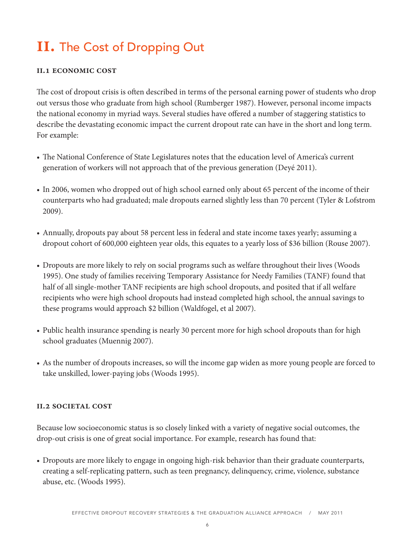# **ii.** The Cost of Dropping Out

#### **ii.1 economic cost**

The cost of dropout crisis is often described in terms of the personal earning power of students who drop out versus those who graduate from high school (Rumberger 1987). However, personal income impacts the national economy in myriad ways. Several studies have offered a number of staggering statistics to describe the devastating economic impact the current dropout rate can have in the short and long term. For example:

- The National Conference of State Legislatures notes that the education level of America's current generation of workers will not approach that of the previous generation (Deyé 2011).
- In 2006, women who dropped out of high school earned only about 65 percent of the income of their counterparts who had graduated; male dropouts earned slightly less than 70 percent (Tyler & Lofstrom 2009).
- Annually, dropouts pay about 58 percent less in federal and state income taxes yearly; assuming a dropout cohort of 600,000 eighteen year olds, this equates to a yearly loss of \$36 billion (Rouse 2007).
- Dropouts are more likely to rely on social programs such as welfare throughout their lives (Woods 1995). One study of families receiving Temporary Assistance for Needy Families (TANF) found that half of all single-mother TANF recipients are high school dropouts, and posited that if all welfare recipients who were high school dropouts had instead completed high school, the annual savings to these programs would approach \$2 billion (Waldfogel, et al 2007).
- Public health insurance spending is nearly 30 percent more for high school dropouts than for high school graduates (Muennig 2007).
- As the number of dropouts increases, so will the income gap widen as more young people are forced to take unskilled, lower-paying jobs (Woods 1995).

#### **ii.2 societal cost**

Because low socioeconomic status is so closely linked with a variety of negative social outcomes, the drop-out crisis is one of great social importance. For example, research has found that:

• Dropouts are more likely to engage in ongoing high-risk behavior than their graduate counterparts, creating a self-replicating pattern, such as teen pregnancy, delinquency, crime, violence, substance abuse, etc. (Woods 1995).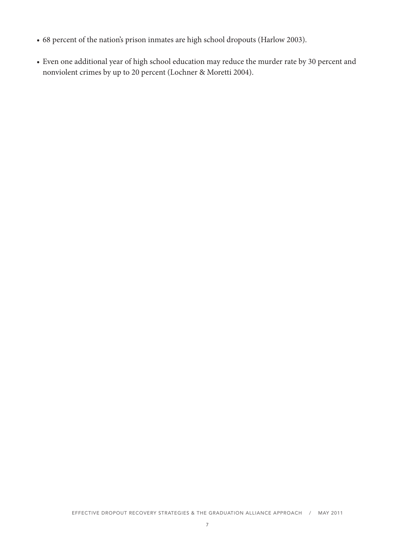- 68 percent of the nation's prison inmates are high school dropouts (Harlow 2003).
- Even one additional year of high school education may reduce the murder rate by 30 percent and nonviolent crimes by up to 20 percent (Lochner & Moretti 2004).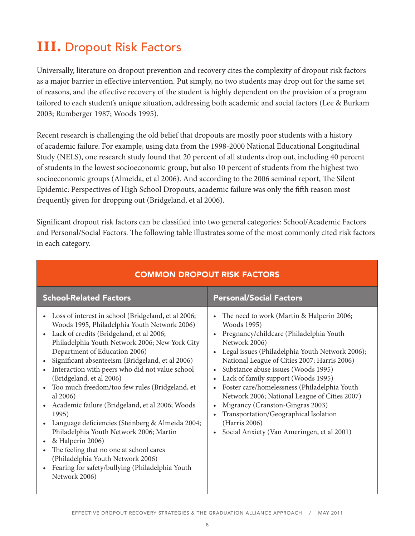# **III.** Dropout Risk Factors

Universally, literature on dropout prevention and recovery cites the complexity of dropout risk factors as a major barrier in effective intervention. Put simply, no two students may drop out for the same set of reasons, and the effective recovery of the student is highly dependent on the provision of a program tailored to each student's unique situation, addressing both academic and social factors (Lee & Burkam 2003; Rumberger 1987; Woods 1995).

Recent research is challenging the old belief that dropouts are mostly poor students with a history of academic failure. For example, using data from the 1998-2000 National Educational Longitudinal Study (NELS), one research study found that 20 percent of all students drop out, including 40 percent of students in the lowest socioeconomic group, but also 10 percent of students from the highest two socioeconomic groups (Almeida, et al 2006). And according to the 2006 seminal report, The Silent Epidemic: Perspectives of High School Dropouts, academic failure was only the fifth reason most frequently given for dropping out (Bridgeland, et al 2006).

Significant dropout risk factors can be classified into two general categories: School/Academic Factors and Personal/Social Factors. The following table illustrates some of the most commonly cited risk factors in each category.

| <b>School-Related Factors</b>                                                                                                                                                                                                                                                                                                                                                                                                                                                                                                                                                                                                                                                                                                                                                                                                                                     | <b>Personal/Social Factors</b>                                                                                                                                                                                                                                                                                                                                                                                                                                                                                                                                  |
|-------------------------------------------------------------------------------------------------------------------------------------------------------------------------------------------------------------------------------------------------------------------------------------------------------------------------------------------------------------------------------------------------------------------------------------------------------------------------------------------------------------------------------------------------------------------------------------------------------------------------------------------------------------------------------------------------------------------------------------------------------------------------------------------------------------------------------------------------------------------|-----------------------------------------------------------------------------------------------------------------------------------------------------------------------------------------------------------------------------------------------------------------------------------------------------------------------------------------------------------------------------------------------------------------------------------------------------------------------------------------------------------------------------------------------------------------|
| Loss of interest in school (Bridgeland, et al 2006;<br>$\bullet$<br>Woods 1995, Philadelphia Youth Network 2006)<br>Lack of credits (Bridgeland, et al 2006;<br>$\bullet$<br>Philadelphia Youth Network 2006; New York City<br>Department of Education 2006)<br>Significant absenteeism (Bridgeland, et al 2006)<br>Interaction with peers who did not value school<br>(Bridgeland, et al 2006)<br>Too much freedom/too few rules (Bridgeland, et<br>$\bullet$<br>al 2006)<br>Academic failure (Bridgeland, et al 2006; Woods<br>$\bullet$<br>1995)<br>Language deficiencies (Steinberg & Almeida 2004;<br>$\bullet$<br>Philadelphia Youth Network 2006; Martin<br>& Halperin 2006)<br>$\bullet$<br>The feeling that no one at school cares<br>$\bullet$<br>(Philadelphia Youth Network 2006)<br>Fearing for safety/bullying (Philadelphia Youth<br>Network 2006) | The need to work (Martin & Halperin 2006;<br>Woods 1995)<br>Pregnancy/childcare (Philadelphia Youth<br>Network 2006)<br>Legal issues (Philadelphia Youth Network 2006);<br>National League of Cities 2007; Harris 2006)<br>Substance abuse issues (Woods 1995)<br>Lack of family support (Woods 1995)<br>Foster care/homelessness (Philadelphia Youth<br>Network 2006; National League of Cities 2007)<br>Migrancy (Cranston-Gingras 2003)<br>Transportation/Geographical Isolation<br>(Harris 2006)<br>Social Anxiety (Van Ameringen, et al 2001)<br>$\bullet$ |

## COMMON DROPOUT RISK FACTORS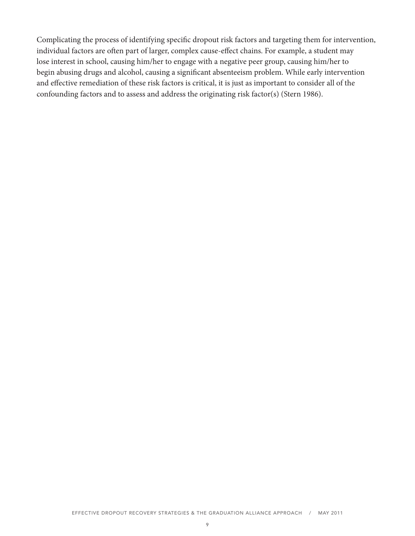Complicating the process of identifying specific dropout risk factors and targeting them for intervention, individual factors are often part of larger, complex cause-effect chains. For example, a student may lose interest in school, causing him/her to engage with a negative peer group, causing him/her to begin abusing drugs and alcohol, causing a significant absenteeism problem. While early intervention and effective remediation of these risk factors is critical, it is just as important to consider all of the confounding factors and to assess and address the originating risk factor(s) (Stern 1986).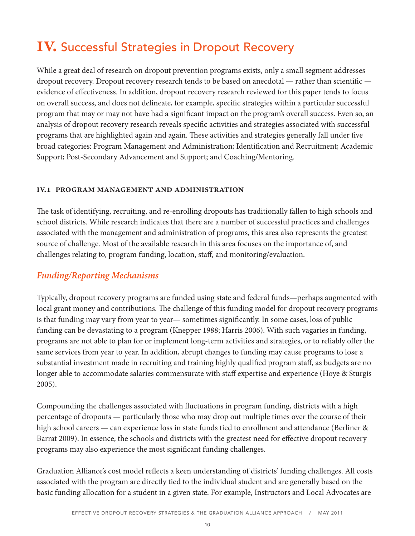# **IV.** Successful Strategies in Dropout Recovery

While a great deal of research on dropout prevention programs exists, only a small segment addresses dropout recovery. Dropout recovery research tends to be based on anecdotal — rather than scientific evidence of effectiveness. In addition, dropout recovery research reviewed for this paper tends to focus on overall success, and does not delineate, for example, specific strategies within a particular successful program that may or may not have had a significant impact on the program's overall success. Even so, an analysis of dropout recovery research reveals specific activities and strategies associated with successful programs that are highlighted again and again. These activities and strategies generally fall under five broad categories: Program Management and Administration; Identification and Recruitment; Academic Support; Post-Secondary Advancement and Support; and Coaching/Mentoring.

#### **iv.1 program management and administration**

The task of identifying, recruiting, and re-enrolling dropouts has traditionally fallen to high schools and school districts. While research indicates that there are a number of successful practices and challenges associated with the management and administration of programs, this area also represents the greatest source of challenge. Most of the available research in this area focuses on the importance of, and challenges relating to, program funding, location, staff, and monitoring/evaluation.

### *Funding/Reporting Mechanisms*

Typically, dropout recovery programs are funded using state and federal funds—perhaps augmented with local grant money and contributions. The challenge of this funding model for dropout recovery programs is that funding may vary from year to year— sometimes significantly. In some cases, loss of public funding can be devastating to a program (Knepper 1988; Harris 2006). With such vagaries in funding, programs are not able to plan for or implement long-term activities and strategies, or to reliably offer the same services from year to year. In addition, abrupt changes to funding may cause programs to lose a substantial investment made in recruiting and training highly qualified program staff, as budgets are no longer able to accommodate salaries commensurate with staff expertise and experience (Hoye & Sturgis 2005).

Compounding the challenges associated with fluctuations in program funding, districts with a high percentage of dropouts — particularly those who may drop out multiple times over the course of their high school careers — can experience loss in state funds tied to enrollment and attendance (Berliner & Barrat 2009). In essence, the schools and districts with the greatest need for effective dropout recovery programs may also experience the most significant funding challenges.

Graduation Alliance's cost model reflects a keen understanding of districts' funding challenges. All costs associated with the program are directly tied to the individual student and are generally based on the basic funding allocation for a student in a given state. For example, Instructors and Local Advocates are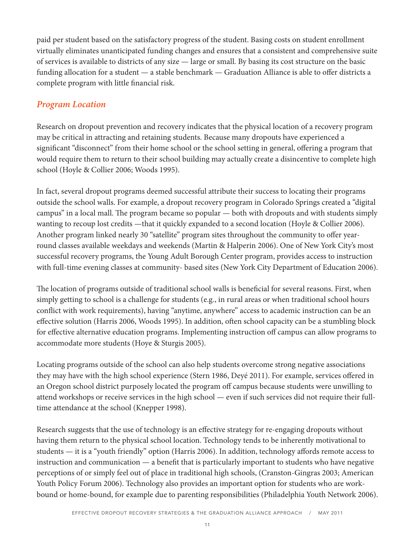paid per student based on the satisfactory progress of the student. Basing costs on student enrollment virtually eliminates unanticipated funding changes and ensures that a consistent and comprehensive suite of services is available to districts of any size — large or small. By basing its cost structure on the basic funding allocation for a student — a stable benchmark — Graduation Alliance is able to offer districts a complete program with little financial risk.

## *Program Location*

Research on dropout prevention and recovery indicates that the physical location of a recovery program may be critical in attracting and retaining students. Because many dropouts have experienced a significant "disconnect" from their home school or the school setting in general, offering a program that would require them to return to their school building may actually create a disincentive to complete high school (Hoyle & Collier 2006; Woods 1995).

In fact, several dropout programs deemed successful attribute their success to locating their programs outside the school walls. For example, a dropout recovery program in Colorado Springs created a "digital campus" in a local mall. The program became so popular — both with dropouts and with students simply wanting to recoup lost credits —that it quickly expanded to a second location (Hoyle & Collier 2006). Another program linked nearly 30 "satellite" program sites throughout the community to offer yearround classes available weekdays and weekends (Martin & Halperin 2006). One of New York City's most successful recovery programs, the Young Adult Borough Center program, provides access to instruction with full-time evening classes at community- based sites (New York City Department of Education 2006).

The location of programs outside of traditional school walls is beneficial for several reasons. First, when simply getting to school is a challenge for students (e.g., in rural areas or when traditional school hours conflict with work requirements), having "anytime, anywhere" access to academic instruction can be an effective solution (Harris 2006, Woods 1995). In addition, often school capacity can be a stumbling block for effective alternative education programs. Implementing instruction off campus can allow programs to accommodate more students (Hoye & Sturgis 2005).

Locating programs outside of the school can also help students overcome strong negative associations they may have with the high school experience (Stern 1986, Deyé 2011). For example, services offered in an Oregon school district purposely located the program off campus because students were unwilling to attend workshops or receive services in the high school — even if such services did not require their fulltime attendance at the school (Knepper 1998).

Research suggests that the use of technology is an effective strategy for re-engaging dropouts without having them return to the physical school location. Technology tends to be inherently motivational to students — it is a "youth friendly" option (Harris 2006). In addition, technology affords remote access to instruction and communication — a benefit that is particularly important to students who have negative perceptions of or simply feel out of place in traditional high schools, (Cranston-Gingras 2003; American Youth Policy Forum 2006). Technology also provides an important option for students who are workbound or home-bound, for example due to parenting responsibilities (Philadelphia Youth Network 2006).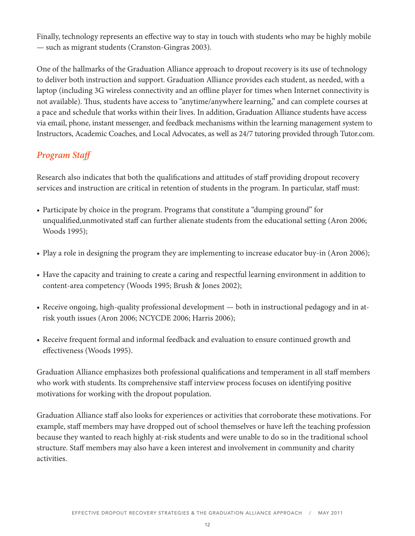Finally, technology represents an effective way to stay in touch with students who may be highly mobile — such as migrant students (Cranston-Gingras 2003).

One of the hallmarks of the Graduation Alliance approach to dropout recovery is its use of technology to deliver both instruction and support. Graduation Alliance provides each student, as needed, with a laptop (including 3G wireless connectivity and an offline player for times when Internet connectivity is not available). Thus, students have access to "anytime/anywhere learning," and can complete courses at a pace and schedule that works within their lives. In addition, Graduation Alliance students have access via email, phone, instant messenger, and feedback mechanisms within the learning management system to Instructors, Academic Coaches, and Local Advocates, as well as 24/7 tutoring provided through Tutor.com.

## *Program Staff*

Research also indicates that both the qualifications and attitudes of staff providing dropout recovery services and instruction are critical in retention of students in the program. In particular, staff must:

- Participate by choice in the program. Programs that constitute a "dumping ground" for unqualified,unmotivated staff can further alienate students from the educational setting (Aron 2006; Woods 1995);
- Play a role in designing the program they are implementing to increase educator buy-in (Aron 2006);
- Have the capacity and training to create a caring and respectful learning environment in addition to content-area competency (Woods 1995; Brush & Jones 2002);
- Receive ongoing, high-quality professional development both in instructional pedagogy and in atrisk youth issues (Aron 2006; NCYCDE 2006; Harris 2006);
- Receive frequent formal and informal feedback and evaluation to ensure continued growth and effectiveness (Woods 1995).

Graduation Alliance emphasizes both professional qualifications and temperament in all staff members who work with students. Its comprehensive staff interview process focuses on identifying positive motivations for working with the dropout population.

Graduation Alliance staff also looks for experiences or activities that corroborate these motivations. For example, staff members may have dropped out of school themselves or have left the teaching profession because they wanted to reach highly at-risk students and were unable to do so in the traditional school structure. Staff members may also have a keen interest and involvement in community and charity activities.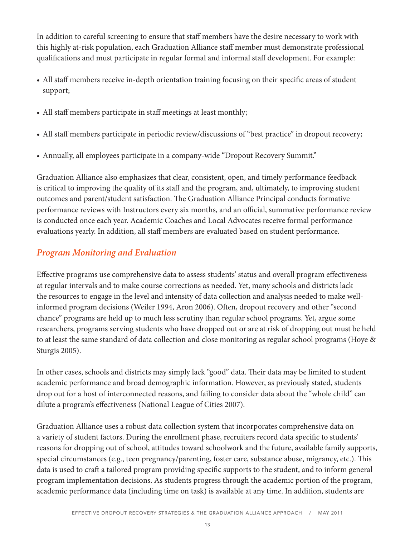In addition to careful screening to ensure that staff members have the desire necessary to work with this highly at-risk population, each Graduation Alliance staff member must demonstrate professional qualifications and must participate in regular formal and informal staff development. For example:

- All staff members receive in-depth orientation training focusing on their specific areas of student support;
- All staff members participate in staff meetings at least monthly;
- All staff members participate in periodic review/discussions of "best practice" in dropout recovery;
- Annually, all employees participate in a company-wide "Dropout Recovery Summit."

Graduation Alliance also emphasizes that clear, consistent, open, and timely performance feedback is critical to improving the quality of its staff and the program, and, ultimately, to improving student outcomes and parent/student satisfaction. The Graduation Alliance Principal conducts formative performance reviews with Instructors every six months, and an official, summative performance review is conducted once each year. Academic Coaches and Local Advocates receive formal performance evaluations yearly. In addition, all staff members are evaluated based on student performance.

# *Program Monitoring and Evaluation*

Effective programs use comprehensive data to assess students' status and overall program effectiveness at regular intervals and to make course corrections as needed. Yet, many schools and districts lack the resources to engage in the level and intensity of data collection and analysis needed to make wellinformed program decisions (Weiler 1994, Aron 2006). Often, dropout recovery and other "second chance" programs are held up to much less scrutiny than regular school programs. Yet, argue some researchers, programs serving students who have dropped out or are at risk of dropping out must be held to at least the same standard of data collection and close monitoring as regular school programs (Hoye & Sturgis 2005).

In other cases, schools and districts may simply lack "good" data. Their data may be limited to student academic performance and broad demographic information. However, as previously stated, students drop out for a host of interconnected reasons, and failing to consider data about the "whole child" can dilute a program's effectiveness (National League of Cities 2007).

Graduation Alliance uses a robust data collection system that incorporates comprehensive data on a variety of student factors. During the enrollment phase, recruiters record data specific to students' reasons for dropping out of school, attitudes toward schoolwork and the future, available family supports, special circumstances (e.g., teen pregnancy/parenting, foster care, substance abuse, migrancy, etc.). This data is used to craft a tailored program providing specific supports to the student, and to inform general program implementation decisions. As students progress through the academic portion of the program, academic performance data (including time on task) is available at any time. In addition, students are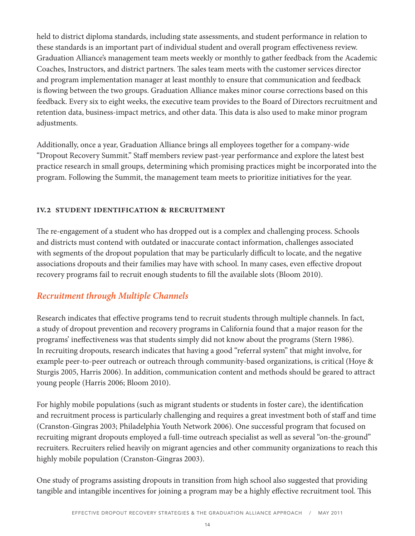held to district diploma standards, including state assessments, and student performance in relation to these standards is an important part of individual student and overall program effectiveness review. Graduation Alliance's management team meets weekly or monthly to gather feedback from the Academic Coaches, Instructors, and district partners. The sales team meets with the customer services director and program implementation manager at least monthly to ensure that communication and feedback is flowing between the two groups. Graduation Alliance makes minor course corrections based on this feedback. Every six to eight weeks, the executive team provides to the Board of Directors recruitment and retention data, business-impact metrics, and other data. This data is also used to make minor program adjustments.

Additionally, once a year, Graduation Alliance brings all employees together for a company-wide "Dropout Recovery Summit." Staff members review past-year performance and explore the latest best practice research in small groups, determining which promising practices might be incorporated into the program. Following the Summit, the management team meets to prioritize initiatives for the year.

#### **iv.2 student identification & recruitment**

The re-engagement of a student who has dropped out is a complex and challenging process. Schools and districts must contend with outdated or inaccurate contact information, challenges associated with segments of the dropout population that may be particularly difficult to locate, and the negative associations dropouts and their families may have with school. In many cases, even effective dropout recovery programs fail to recruit enough students to fill the available slots (Bloom 2010).

### *Recruitment through Multiple Channels*

Research indicates that effective programs tend to recruit students through multiple channels. In fact, a study of dropout prevention and recovery programs in California found that a major reason for the programs' ineffectiveness was that students simply did not know about the programs (Stern 1986). In recruiting dropouts, research indicates that having a good "referral system" that might involve, for example peer-to-peer outreach or outreach through community-based organizations, is critical (Hoye & Sturgis 2005, Harris 2006). In addition, communication content and methods should be geared to attract young people (Harris 2006; Bloom 2010).

For highly mobile populations (such as migrant students or students in foster care), the identification and recruitment process is particularly challenging and requires a great investment both of staff and time (Cranston-Gingras 2003; Philadelphia Youth Network 2006). One successful program that focused on recruiting migrant dropouts employed a full-time outreach specialist as well as several "on-the-ground" recruiters. Recruiters relied heavily on migrant agencies and other community organizations to reach this highly mobile population (Cranston-Gingras 2003).

One study of programs assisting dropouts in transition from high school also suggested that providing tangible and intangible incentives for joining a program may be a highly effective recruitment tool. This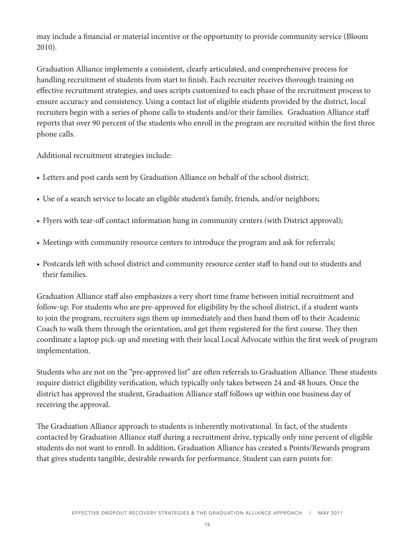may include a financial or material incentive or the opportunity to provide community service (Bloom 2010).

Graduation Alliance implements a consistent, clearly articulated, and comprehensive process for handling recruitment of students from start to finish. Each recruiter receives thorough training on effective recruitment strategies, and uses scripts customized to each phase of the recruitment process to ensure accuracy and consistency. Using a contact list of eligible students provided by the district, local recruiters begin with a series of phone calls to students and/or their families. Graduation Alliance staff reports that over 90 percent of the students who enroll in the program are recruited within the first three phone calls.

Additional recruitment strategies include:

- Letters and post cards sent by Graduation Alliance on behalf of the school district;
- Use of a search service to locate an eligible student's family, friends, and/or neighbors;
- Flyers with tear-off contact information hung in community centers (with District approval);
- Meetings with community resource centers to introduce the program and ask for referrals;
- Postcards left with school district and community resource center staff to hand out to students and their families.

Graduation Alliance staff also emphasizes a very short time frame between initial recruitment and follow-up. For students who are pre-approved for eligibility by the school district, if a student wants to join the program, recruiters sign them up immediately and then hand them off to their Academic Coach to walk them through the orientation, and get them registered for the first course. They then coordinate a laptop pick-up and meeting with their local Local Advocate within the first week of program implementation.

Students who are not on the "pre-approved list" are often referrals to Graduation Alliance. These students require district eligibility verification, which typically only takes between 24 and 48 hours. Once the district has approved the student, Graduation Alliance staff follows up within one business day of receiving the approval.

The Graduation Alliance approach to students is inherently motivational. In fact, of the students contacted by Graduation Alliance staff during a recruitment drive, typically only nine percent of eligible students do not want to enroll. In addition, Graduation Alliance has created a Points/Rewards program that gives students tangible, desirable rewards for performance. Student can earn points for: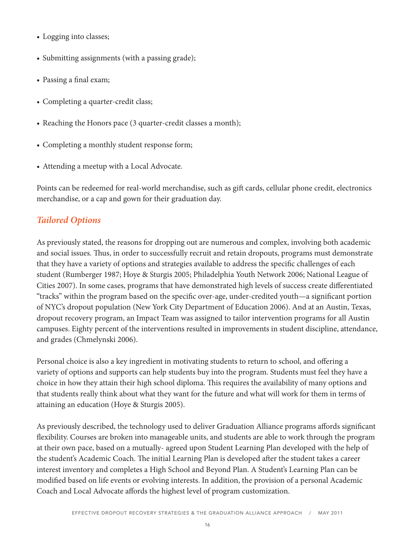- Logging into classes;
- Submitting assignments (with a passing grade);
- Passing a final exam;
- Completing a quarter-credit class;
- Reaching the Honors pace (3 quarter-credit classes a month);
- Completing a monthly student response form;
- Attending a meetup with a Local Advocate.

Points can be redeemed for real-world merchandise, such as gift cards, cellular phone credit, electronics merchandise, or a cap and gown for their graduation day.

# *Tailored Options*

As previously stated, the reasons for dropping out are numerous and complex, involving both academic and social issues. Thus, in order to successfully recruit and retain dropouts, programs must demonstrate that they have a variety of options and strategies available to address the specific challenges of each student (Rumberger 1987; Hoye & Sturgis 2005; Philadelphia Youth Network 2006; National League of Cities 2007). In some cases, programs that have demonstrated high levels of success create differentiated "tracks" within the program based on the specific over-age, under-credited youth—a significant portion of NYC's dropout population (New York City Department of Education 2006). And at an Austin, Texas, dropout recovery program, an Impact Team was assigned to tailor intervention programs for all Austin campuses. Eighty percent of the interventions resulted in improvements in student discipline, attendance, and grades (Chmelynski 2006).

Personal choice is also a key ingredient in motivating students to return to school, and offering a variety of options and supports can help students buy into the program. Students must feel they have a choice in how they attain their high school diploma. This requires the availability of many options and that students really think about what they want for the future and what will work for them in terms of attaining an education (Hoye & Sturgis 2005).

As previously described, the technology used to deliver Graduation Alliance programs affords significant flexibility. Courses are broken into manageable units, and students are able to work through the program at their own pace, based on a mutually- agreed upon Student Learning Plan developed with the help of the student's Academic Coach. The initial Learning Plan is developed after the student takes a career interest inventory and completes a High School and Beyond Plan. A Student's Learning Plan can be modified based on life events or evolving interests. In addition, the provision of a personal Academic Coach and Local Advocate affords the highest level of program customization.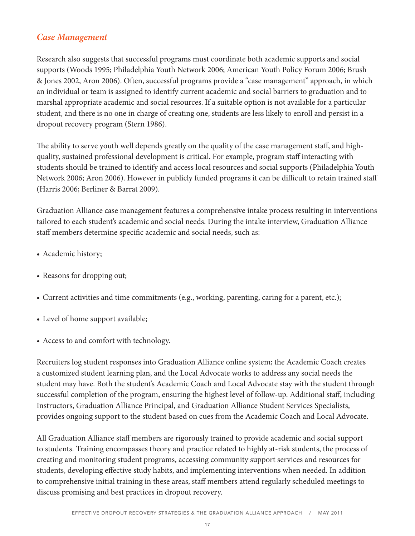### *Case Management*

Research also suggests that successful programs must coordinate both academic supports and social supports (Woods 1995; Philadelphia Youth Network 2006; American Youth Policy Forum 2006; Brush & Jones 2002, Aron 2006). Often, successful programs provide a "case management" approach, in which an individual or team is assigned to identify current academic and social barriers to graduation and to marshal appropriate academic and social resources. If a suitable option is not available for a particular student, and there is no one in charge of creating one, students are less likely to enroll and persist in a dropout recovery program (Stern 1986).

The ability to serve youth well depends greatly on the quality of the case management staff, and highquality, sustained professional development is critical. For example, program staff interacting with students should be trained to identify and access local resources and social supports (Philadelphia Youth Network 2006; Aron 2006). However in publicly funded programs it can be difficult to retain trained staff (Harris 2006; Berliner & Barrat 2009).

Graduation Alliance case management features a comprehensive intake process resulting in interventions tailored to each student's academic and social needs. During the intake interview, Graduation Alliance staff members determine specific academic and social needs, such as:

- Academic history;
- Reasons for dropping out;
- Current activities and time commitments (e.g., working, parenting, caring for a parent, etc.);
- Level of home support available;
- Access to and comfort with technology.

Recruiters log student responses into Graduation Alliance online system; the Academic Coach creates a customized student learning plan, and the Local Advocate works to address any social needs the student may have. Both the student's Academic Coach and Local Advocate stay with the student through successful completion of the program, ensuring the highest level of follow-up. Additional staff, including Instructors, Graduation Alliance Principal, and Graduation Alliance Student Services Specialists, provides ongoing support to the student based on cues from the Academic Coach and Local Advocate.

All Graduation Alliance staff members are rigorously trained to provide academic and social support to students. Training encompasses theory and practice related to highly at-risk students, the process of creating and monitoring student programs, accessing community support services and resources for students, developing effective study habits, and implementing interventions when needed. In addition to comprehensive initial training in these areas, staff members attend regularly scheduled meetings to discuss promising and best practices in dropout recovery.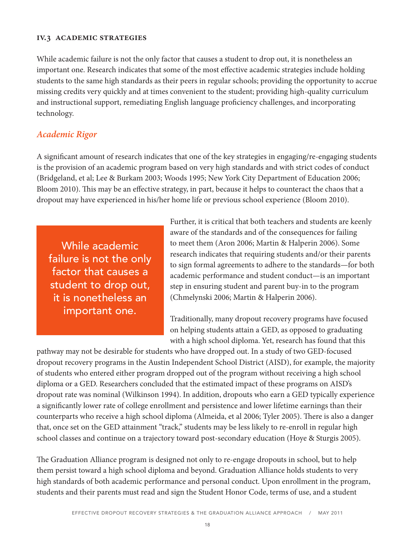#### **iv.3 academic strategies**

While academic failure is not the only factor that causes a student to drop out, it is nonetheless an important one. Research indicates that some of the most effective academic strategies include holding students to the same high standards as their peers in regular schools; providing the opportunity to accrue missing credits very quickly and at times convenient to the student; providing high-quality curriculum and instructional support, remediating English language proficiency challenges, and incorporating technology.

### *Academic Rigor*

A significant amount of research indicates that one of the key strategies in engaging/re-engaging students is the provision of an academic program based on very high standards and with strict codes of conduct (Bridgeland, et al; Lee & Burkam 2003; Woods 1995; New York City Department of Education 2006; Bloom 2010). This may be an effective strategy, in part, because it helps to counteract the chaos that a dropout may have experienced in his/her home life or previous school experience (Bloom 2010).

While academic failure is not the only factor that causes a student to drop out, it is nonetheless an important one.

Further, it is critical that both teachers and students are keenly aware of the standards and of the consequences for failing to meet them (Aron 2006; Martin & Halperin 2006). Some research indicates that requiring students and/or their parents to sign formal agreements to adhere to the standards—for both academic performance and student conduct—is an important step in ensuring student and parent buy-in to the program (Chmelynski 2006; Martin & Halperin 2006).

Traditionally, many dropout recovery programs have focused on helping students attain a GED, as opposed to graduating with a high school diploma. Yet, research has found that this

pathway may not be desirable for students who have dropped out. In a study of two GED-focused dropout recovery programs in the Austin Independent School District (AISD), for example, the majority of students who entered either program dropped out of the program without receiving a high school diploma or a GED. Researchers concluded that the estimated impact of these programs on AISD's dropout rate was nominal (Wilkinson 1994). In addition, dropouts who earn a GED typically experience a significantly lower rate of college enrollment and persistence and lower lifetime earnings than their counterparts who receive a high school diploma (Almeida, et al 2006; Tyler 2005). There is also a danger that, once set on the GED attainment "track," students may be less likely to re-enroll in regular high school classes and continue on a trajectory toward post-secondary education (Hoye & Sturgis 2005).

The Graduation Alliance program is designed not only to re-engage dropouts in school, but to help them persist toward a high school diploma and beyond. Graduation Alliance holds students to very high standards of both academic performance and personal conduct. Upon enrollment in the program, students and their parents must read and sign the Student Honor Code, terms of use, and a student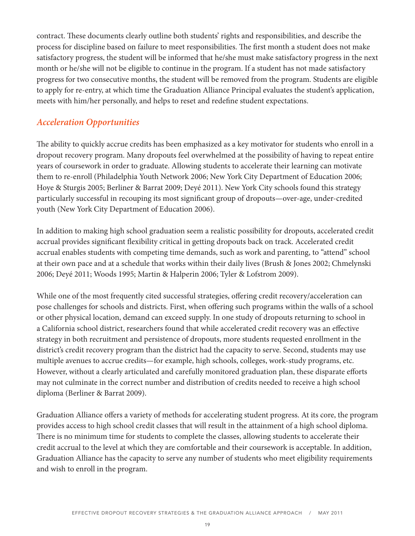contract. These documents clearly outline both students' rights and responsibilities, and describe the process for discipline based on failure to meet responsibilities. The first month a student does not make satisfactory progress, the student will be informed that he/she must make satisfactory progress in the next month or he/she will not be eligible to continue in the program. If a student has not made satisfactory progress for two consecutive months, the student will be removed from the program. Students are eligible to apply for re-entry, at which time the Graduation Alliance Principal evaluates the student's application, meets with him/her personally, and helps to reset and redefine student expectations.

## *Acceleration Opportunities*

The ability to quickly accrue credits has been emphasized as a key motivator for students who enroll in a dropout recovery program. Many dropouts feel overwhelmed at the possibility of having to repeat entire years of coursework in order to graduate. Allowing students to accelerate their learning can motivate them to re-enroll (Philadelphia Youth Network 2006; New York City Department of Education 2006; Hoye & Sturgis 2005; Berliner & Barrat 2009; Deyé 2011). New York City schools found this strategy particularly successful in recouping its most significant group of dropouts—over-age, under-credited youth (New York City Department of Education 2006).

In addition to making high school graduation seem a realistic possibility for dropouts, accelerated credit accrual provides significant flexibility critical in getting dropouts back on track. Accelerated credit accrual enables students with competing time demands, such as work and parenting, to "attend" school at their own pace and at a schedule that works within their daily lives (Brush & Jones 2002; Chmelynski 2006; Deyé 2011; Woods 1995; Martin & Halperin 2006; Tyler & Lofstrom 2009).

While one of the most frequently cited successful strategies, offering credit recovery/acceleration can pose challenges for schools and districts. First, when offering such programs within the walls of a school or other physical location, demand can exceed supply. In one study of dropouts returning to school in a California school district, researchers found that while accelerated credit recovery was an effective strategy in both recruitment and persistence of dropouts, more students requested enrollment in the district's credit recovery program than the district had the capacity to serve. Second, students may use multiple avenues to accrue credits—for example, high schools, colleges, work-study programs, etc. However, without a clearly articulated and carefully monitored graduation plan, these disparate efforts may not culminate in the correct number and distribution of credits needed to receive a high school diploma (Berliner & Barrat 2009).

Graduation Alliance offers a variety of methods for accelerating student progress. At its core, the program provides access to high school credit classes that will result in the attainment of a high school diploma. There is no minimum time for students to complete the classes, allowing students to accelerate their credit accrual to the level at which they are comfortable and their coursework is acceptable. In addition, Graduation Alliance has the capacity to serve any number of students who meet eligibility requirements and wish to enroll in the program.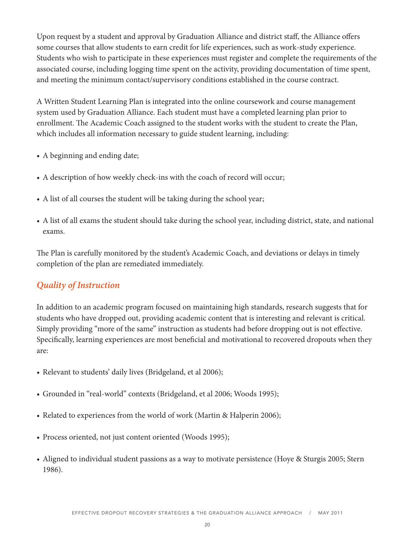Upon request by a student and approval by Graduation Alliance and district staff, the Alliance offers some courses that allow students to earn credit for life experiences, such as work-study experience. Students who wish to participate in these experiences must register and complete the requirements of the associated course, including logging time spent on the activity, providing documentation of time spent, and meeting the minimum contact/supervisory conditions established in the course contract.

A Written Student Learning Plan is integrated into the online coursework and course management system used by Graduation Alliance. Each student must have a completed learning plan prior to enrollment. The Academic Coach assigned to the student works with the student to create the Plan, which includes all information necessary to guide student learning, including:

- A beginning and ending date;
- A description of how weekly check-ins with the coach of record will occur;
- A list of all courses the student will be taking during the school year;
- A list of all exams the student should take during the school year, including district, state, and national exams.

The Plan is carefully monitored by the student's Academic Coach, and deviations or delays in timely completion of the plan are remediated immediately.

## *Quality of Instruction*

In addition to an academic program focused on maintaining high standards, research suggests that for students who have dropped out, providing academic content that is interesting and relevant is critical. Simply providing "more of the same" instruction as students had before dropping out is not effective. Specifically, learning experiences are most beneficial and motivational to recovered dropouts when they are:

- Relevant to students' daily lives (Bridgeland, et al 2006);
- Grounded in "real-world" contexts (Bridgeland, et al 2006; Woods 1995);
- Related to experiences from the world of work (Martin & Halperin 2006);
- Process oriented, not just content oriented (Woods 1995);
- Aligned to individual student passions as a way to motivate persistence (Hoye & Sturgis 2005; Stern 1986).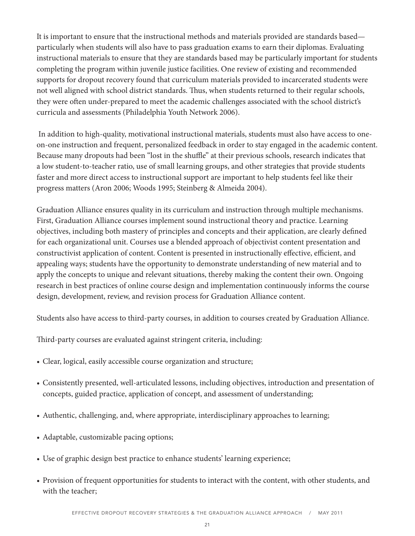It is important to ensure that the instructional methods and materials provided are standards based particularly when students will also have to pass graduation exams to earn their diplomas. Evaluating instructional materials to ensure that they are standards based may be particularly important for students completing the program within juvenile justice facilities. One review of existing and recommended supports for dropout recovery found that curriculum materials provided to incarcerated students were not well aligned with school district standards. Thus, when students returned to their regular schools, they were often under-prepared to meet the academic challenges associated with the school district's curricula and assessments (Philadelphia Youth Network 2006).

 In addition to high-quality, motivational instructional materials, students must also have access to oneon-one instruction and frequent, personalized feedback in order to stay engaged in the academic content. Because many dropouts had been "lost in the shuffle" at their previous schools, research indicates that a low student-to-teacher ratio, use of small learning groups, and other strategies that provide students faster and more direct access to instructional support are important to help students feel like their progress matters (Aron 2006; Woods 1995; Steinberg & Almeida 2004).

Graduation Alliance ensures quality in its curriculum and instruction through multiple mechanisms. First, Graduation Alliance courses implement sound instructional theory and practice. Learning objectives, including both mastery of principles and concepts and their application, are clearly defined for each organizational unit. Courses use a blended approach of objectivist content presentation and constructivist application of content. Content is presented in instructionally effective, efficient, and appealing ways; students have the opportunity to demonstrate understanding of new material and to apply the concepts to unique and relevant situations, thereby making the content their own. Ongoing research in best practices of online course design and implementation continuously informs the course design, development, review, and revision process for Graduation Alliance content.

Students also have access to third-party courses, in addition to courses created by Graduation Alliance.

Third-party courses are evaluated against stringent criteria, including:

- Clear, logical, easily accessible course organization and structure;
- Consistently presented, well-articulated lessons, including objectives, introduction and presentation of concepts, guided practice, application of concept, and assessment of understanding;
- Authentic, challenging, and, where appropriate, interdisciplinary approaches to learning;
- Adaptable, customizable pacing options;
- Use of graphic design best practice to enhance students' learning experience;
- Provision of frequent opportunities for students to interact with the content, with other students, and with the teacher;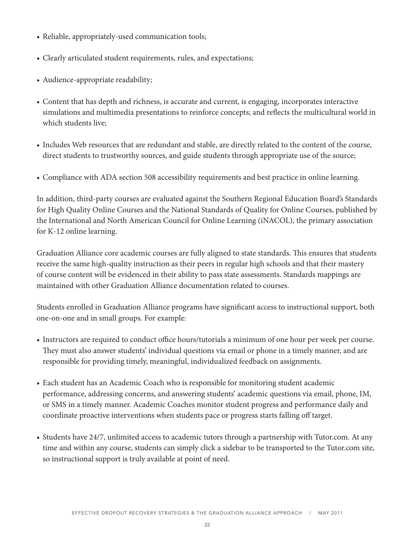- Reliable, appropriately-used communication tools;
- Clearly articulated student requirements, rules, and expectations;
- Audience-appropriate readability;
- Content that has depth and richness, is accurate and current, is engaging, incorporates interactive simulations and multimedia presentations to reinforce concepts; and reflects the multicultural world in which students live;
- Includes Web resources that are redundant and stable, are directly related to the content of the course, direct students to trustworthy sources, and guide students through appropriate use of the source;
- Compliance with ADA section 508 accessibility requirements and best practice in online learning.

In addition, third-party courses are evaluated against the Southern Regional Education Board's Standards for High Quality Online Courses and the National Standards of Quality for Online Courses, published by the International and North American Council for Online Learning (iNACOL), the primary association for K-12 online learning.

Graduation Alliance core academic courses are fully aligned to state standards. This ensures that students receive the same high-quality instruction as their peers in regular high schools and that their mastery of course content will be evidenced in their ability to pass state assessments. Standards mappings are maintained with other Graduation Alliance documentation related to courses.

Students enrolled in Graduation Alliance programs have significant access to instructional support, both one-on-one and in small groups. For example:

- Instructors are required to conduct office hours/tutorials a minimum of one hour per week per course. They must also answer students' individual questions via email or phone in a timely manner, and are responsible for providing timely, meaningful, individualized feedback on assignments.
- Each student has an Academic Coach who is responsible for monitoring student academic performance, addressing concerns, and answering students' academic questions via email, phone, IM, or SMS in a timely manner. Academic Coaches monitor student progress and performance daily and coordinate proactive interventions when students pace or progress starts falling off target.
- Students have 24/7, unlimited access to academic tutors through a partnership with Tutor.com. At any time and within any course, students can simply click a sidebar to be transported to the Tutor.com site, so instructional support is truly available at point of need.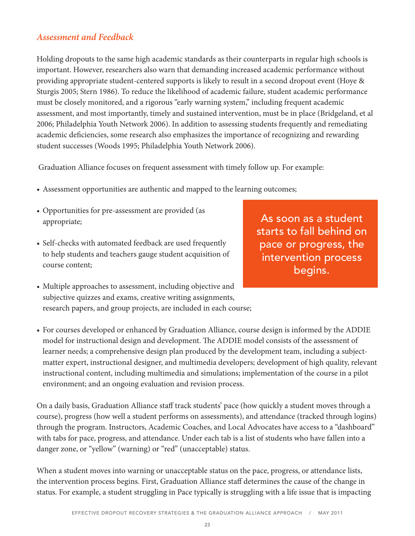### *Assessment and Feedback*

Holding dropouts to the same high academic standards as their counterparts in regular high schools is important. However, researchers also warn that demanding increased academic performance without providing appropriate student-centered supports is likely to result in a second dropout event (Hoye & Sturgis 2005; Stern 1986). To reduce the likelihood of academic failure, student academic performance must be closely monitored, and a rigorous "early warning system," including frequent academic assessment, and most importantly, timely and sustained intervention, must be in place (Bridgeland, et al 2006; Philadelphia Youth Network 2006). In addition to assessing students frequently and remediating academic deficiencies, some research also emphasizes the importance of recognizing and rewarding student successes (Woods 1995; Philadelphia Youth Network 2006).

Graduation Alliance focuses on frequent assessment with timely follow up. For example:

- Assessment opportunities are authentic and mapped to the learning outcomes;
- Opportunities for pre-assessment are provided (as appropriate;
- Self-checks with automated feedback are used frequently to help students and teachers gauge student acquisition of course content;

As soon as a student starts to fall behind on pace or progress, the intervention process begins.

- Multiple approaches to assessment, including objective and subjective quizzes and exams, creative writing assignments, research papers, and group projects, are included in each course;
- For courses developed or enhanced by Graduation Alliance, course design is informed by the ADDIE model for instructional design and development. The ADDIE model consists of the assessment of learner needs; a comprehensive design plan produced by the development team, including a subjectmatter expert, instructional designer, and multimedia developers; development of high quality, relevant instructional content, including multimedia and simulations; implementation of the course in a pilot environment; and an ongoing evaluation and revision process.

On a daily basis, Graduation Alliance staff track students' pace (how quickly a student moves through a course), progress (how well a student performs on assessments), and attendance (tracked through logins) through the program. Instructors, Academic Coaches, and Local Advocates have access to a "dashboard" with tabs for pace, progress, and attendance. Under each tab is a list of students who have fallen into a danger zone, or "yellow" (warning) or "red" (unacceptable) status.

When a student moves into warning or unacceptable status on the pace, progress, or attendance lists, the intervention process begins. First, Graduation Alliance staff determines the cause of the change in status. For example, a student struggling in Pace typically is struggling with a life issue that is impacting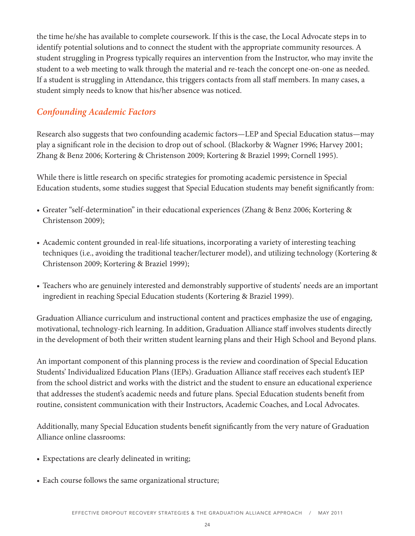the time he/she has available to complete coursework. If this is the case, the Local Advocate steps in to identify potential solutions and to connect the student with the appropriate community resources. A student struggling in Progress typically requires an intervention from the Instructor, who may invite the student to a web meeting to walk through the material and re-teach the concept one-on-one as needed. If a student is struggling in Attendance, this triggers contacts from all staff members. In many cases, a student simply needs to know that his/her absence was noticed.

## *Confounding Academic Factors*

Research also suggests that two confounding academic factors—LEP and Special Education status—may play a significant role in the decision to drop out of school. (Blackorby & Wagner 1996; Harvey 2001; Zhang & Benz 2006; Kortering & Christenson 2009; Kortering & Braziel 1999; Cornell 1995).

While there is little research on specific strategies for promoting academic persistence in Special Education students, some studies suggest that Special Education students may benefit significantly from:

- Greater "self-determination" in their educational experiences (Zhang & Benz 2006; Kortering & Christenson 2009);
- Academic content grounded in real-life situations, incorporating a variety of interesting teaching techniques (i.e., avoiding the traditional teacher/lecturer model), and utilizing technology (Kortering & Christenson 2009; Kortering & Braziel 1999);
- Teachers who are genuinely interested and demonstrably supportive of students' needs are an important ingredient in reaching Special Education students (Kortering & Braziel 1999).

Graduation Alliance curriculum and instructional content and practices emphasize the use of engaging, motivational, technology-rich learning. In addition, Graduation Alliance staff involves students directly in the development of both their written student learning plans and their High School and Beyond plans.

An important component of this planning process is the review and coordination of Special Education Students' Individualized Education Plans (IEPs). Graduation Alliance staff receives each student's IEP from the school district and works with the district and the student to ensure an educational experience that addresses the student's academic needs and future plans. Special Education students benefit from routine, consistent communication with their Instructors, Academic Coaches, and Local Advocates.

Additionally, many Special Education students benefit significantly from the very nature of Graduation Alliance online classrooms:

- Expectations are clearly delineated in writing;
- Each course follows the same organizational structure;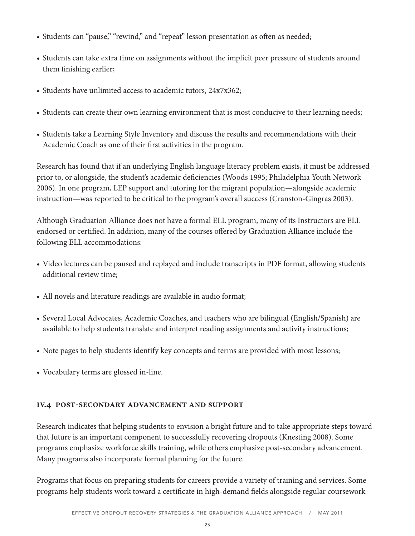- Students can "pause," "rewind," and "repeat" lesson presentation as often as needed;
- Students can take extra time on assignments without the implicit peer pressure of students around them finishing earlier;
- Students have unlimited access to academic tutors,  $24x7x362$ ;
- Students can create their own learning environment that is most conducive to their learning needs;
- Students take a Learning Style Inventory and discuss the results and recommendations with their Academic Coach as one of their first activities in the program.

Research has found that if an underlying English language literacy problem exists, it must be addressed prior to, or alongside, the student's academic deficiencies (Woods 1995; Philadelphia Youth Network 2006). In one program, LEP support and tutoring for the migrant population—alongside academic instruction—was reported to be critical to the program's overall success (Cranston-Gingras 2003).

Although Graduation Alliance does not have a formal ELL program, many of its Instructors are ELL endorsed or certified. In addition, many of the courses offered by Graduation Alliance include the following ELL accommodations:

- Video lectures can be paused and replayed and include transcripts in PDF format, allowing students additional review time;
- All novels and literature readings are available in audio format;
- Several Local Advocates, Academic Coaches, and teachers who are bilingual (English/Spanish) are available to help students translate and interpret reading assignments and activity instructions;
- Note pages to help students identify key concepts and terms are provided with most lessons;
- Vocabulary terms are glossed in-line.

### **iv.4 post-secondary advancement and support**

Research indicates that helping students to envision a bright future and to take appropriate steps toward that future is an important component to successfully recovering dropouts (Knesting 2008). Some programs emphasize workforce skills training, while others emphasize post-secondary advancement. Many programs also incorporate formal planning for the future.

Programs that focus on preparing students for careers provide a variety of training and services. Some programs help students work toward a certificate in high-demand fields alongside regular coursework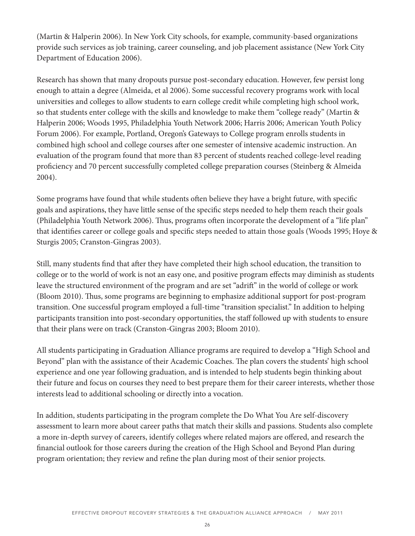(Martin & Halperin 2006). In New York City schools, for example, community-based organizations provide such services as job training, career counseling, and job placement assistance (New York City Department of Education 2006).

Research has shown that many dropouts pursue post-secondary education. However, few persist long enough to attain a degree (Almeida, et al 2006). Some successful recovery programs work with local universities and colleges to allow students to earn college credit while completing high school work, so that students enter college with the skills and knowledge to make them "college ready" (Martin & Halperin 2006; Woods 1995, Philadelphia Youth Network 2006; Harris 2006; American Youth Policy Forum 2006). For example, Portland, Oregon's Gateways to College program enrolls students in combined high school and college courses after one semester of intensive academic instruction. An evaluation of the program found that more than 83 percent of students reached college-level reading proficiency and 70 percent successfully completed college preparation courses (Steinberg & Almeida 2004).

Some programs have found that while students often believe they have a bright future, with specific goals and aspirations, they have little sense of the specific steps needed to help them reach their goals (Philadelphia Youth Network 2006). Thus, programs often incorporate the development of a "life plan" that identifies career or college goals and specific steps needed to attain those goals (Woods 1995; Hoye & Sturgis 2005; Cranston-Gingras 2003).

Still, many students find that after they have completed their high school education, the transition to college or to the world of work is not an easy one, and positive program effects may diminish as students leave the structured environment of the program and are set "adrift" in the world of college or work (Bloom 2010). Thus, some programs are beginning to emphasize additional support for post-program transition. One successful program employed a full-time "transition specialist." In addition to helping participants transition into post-secondary opportunities, the staff followed up with students to ensure that their plans were on track (Cranston-Gingras 2003; Bloom 2010).

All students participating in Graduation Alliance programs are required to develop a "High School and Beyond" plan with the assistance of their Academic Coaches. The plan covers the students' high school experience and one year following graduation, and is intended to help students begin thinking about their future and focus on courses they need to best prepare them for their career interests, whether those interests lead to additional schooling or directly into a vocation.

In addition, students participating in the program complete the Do What You Are self-discovery assessment to learn more about career paths that match their skills and passions. Students also complete a more in-depth survey of careers, identify colleges where related majors are offered, and research the financial outlook for those careers during the creation of the High School and Beyond Plan during program orientation; they review and refine the plan during most of their senior projects.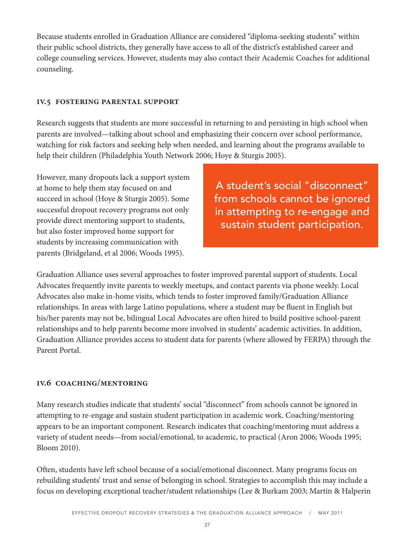Because students enrolled in Graduation Alliance are considered "diploma-seeking students" within their public school districts, they generally have access to all of the district's established career and college counseling services. However, students may also contact their Academic Coaches for additional counseling.

#### **iv.5 fostering parental support**

Research suggests that students are more successful in returning to and persisting in high school when parents are involved—talking about school and emphasizing their concern over school performance, watching for risk factors and seeking help when needed, and learning about the programs available to help their children (Philadelphia Youth Network 2006; Hoye & Sturgis 2005).

However, many dropouts lack a support system at home to help them stay focused on and succeed in school (Hoye & Sturgis 2005). Some successful dropout recovery programs not only provide direct mentoring support to students, but also foster improved home support for students by increasing communication with parents (Bridgeland, et al 2006; Woods 1995).

A student's social "disconnect" from schools cannot be ignored in attempting to re-engage and sustain student participation.

Graduation Alliance uses several approaches to foster improved parental support of students. Local Advocates frequently invite parents to weekly meetups, and contact parents via phone weekly. Local Advocates also make in-home visits, which tends to foster improved family/Graduation Alliance relationships. In areas with large Latino populations, where a student may be fluent in English but his/her parents may not be, bilingual Local Advocates are often hired to build positive school-parent relationships and to help parents become more involved in students' academic activities. In addition, Graduation Alliance provides access to student data for parents (where allowed by FERPA) through the Parent Portal.

#### **iv.6 coaching/mentoring**

Many research studies indicate that students' social "disconnect" from schools cannot be ignored in attempting to re-engage and sustain student participation in academic work. Coaching/mentoring appears to be an important component. Research indicates that coaching/mentoring must address a variety of student needs—from social/emotional, to academic, to practical (Aron 2006; Woods 1995; Bloom 2010).

Often, students have left school because of a social/emotional disconnect. Many programs focus on rebuilding students' trust and sense of belonging in school. Strategies to accomplish this may include a focus on developing exceptional teacher/student relationships (Lee & Burkam 2003; Martin & Halperin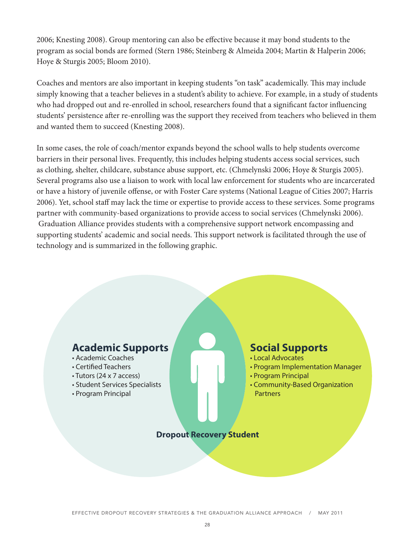2006; Knesting 2008). Group mentoring can also be effective because it may bond students to the program as social bonds are formed (Stern 1986; Steinberg & Almeida 2004; Martin & Halperin 2006; Hoye & Sturgis 2005; Bloom 2010).

Coaches and mentors are also important in keeping students "on task" academically. This may include simply knowing that a teacher believes in a student's ability to achieve. For example, in a study of students who had dropped out and re-enrolled in school, researchers found that a significant factor influencing students' persistence after re-enrolling was the support they received from teachers who believed in them and wanted them to succeed (Knesting 2008).

In some cases, the role of coach/mentor expands beyond the school walls to help students overcome barriers in their personal lives. Frequently, this includes helping students access social services, such as clothing, shelter, childcare, substance abuse support, etc. (Chmelynski 2006; Hoye & Sturgis 2005). Several programs also use a liaison to work with local law enforcement for students who are incarcerated or have a history of juvenile offense, or with Foster Care systems (National League of Cities 2007; Harris 2006). Yet, school staff may lack the time or expertise to provide access to these services. Some programs partner with community-based organizations to provide access to social services (Chmelynski 2006). Graduation Alliance provides students with a comprehensive support network encompassing and supporting students' academic and social needs. This support network is facilitated through the use of technology and is summarized in the following graphic.

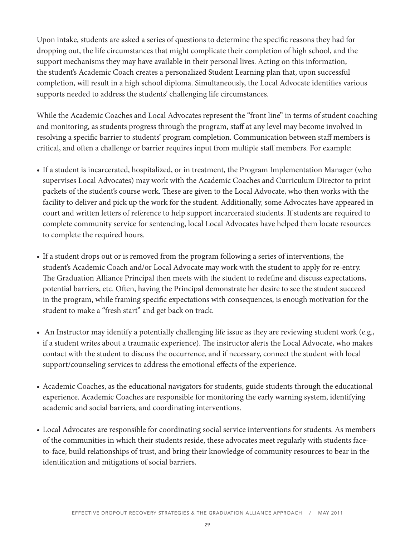Upon intake, students are asked a series of questions to determine the specific reasons they had for dropping out, the life circumstances that might complicate their completion of high school, and the support mechanisms they may have available in their personal lives. Acting on this information, the student's Academic Coach creates a personalized Student Learning plan that, upon successful completion, will result in a high school diploma. Simultaneously, the Local Advocate identifies various supports needed to address the students' challenging life circumstances.

While the Academic Coaches and Local Advocates represent the "front line" in terms of student coaching and monitoring, as students progress through the program, staff at any level may become involved in resolving a specific barrier to students' program completion. Communication between staff members is critical, and often a challenge or barrier requires input from multiple staff members. For example:

- If a student is incarcerated, hospitalized, or in treatment, the Program Implementation Manager (who supervises Local Advocates) may work with the Academic Coaches and Curriculum Director to print packets of the student's course work. These are given to the Local Advocate, who then works with the facility to deliver and pick up the work for the student. Additionally, some Advocates have appeared in court and written letters of reference to help support incarcerated students. If students are required to complete community service for sentencing, local Local Advocates have helped them locate resources to complete the required hours.
- If a student drops out or is removed from the program following a series of interventions, the student's Academic Coach and/or Local Advocate may work with the student to apply for re-entry. The Graduation Alliance Principal then meets with the student to redefine and discuss expectations, potential barriers, etc. Often, having the Principal demonstrate her desire to see the student succeed in the program, while framing specific expectations with consequences, is enough motivation for the student to make a "fresh start" and get back on track.
- An Instructor may identify a potentially challenging life issue as they are reviewing student work (e.g., if a student writes about a traumatic experience). The instructor alerts the Local Advocate, who makes contact with the student to discuss the occurrence, and if necessary, connect the student with local support/counseling services to address the emotional effects of the experience.
- Academic Coaches, as the educational navigators for students, guide students through the educational experience. Academic Coaches are responsible for monitoring the early warning system, identifying academic and social barriers, and coordinating interventions.
- Local Advocates are responsible for coordinating social service interventions for students. As members of the communities in which their students reside, these advocates meet regularly with students faceto-face, build relationships of trust, and bring their knowledge of community resources to bear in the identification and mitigations of social barriers.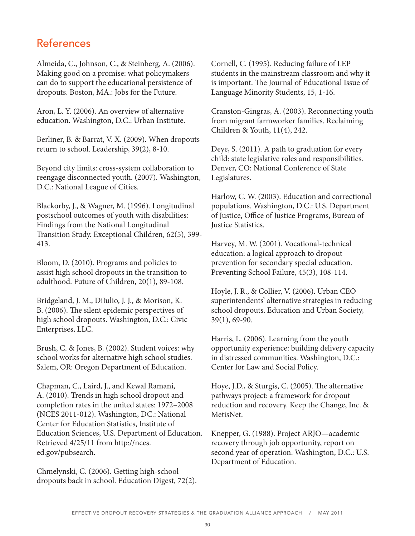# References

Almeida, C., Johnson, C., & Steinberg, A. (2006). Making good on a promise: what policymakers can do to support the educational persistence of dropouts. Boston, MA.: Jobs for the Future.

Aron, L. Y. (2006). An overview of alternative education. Washington, D.C.: Urban Institute.

Berliner, B. & Barrat, V. X. (2009). When dropouts return to school. Leadership, 39(2), 8-10.

Beyond city limits: cross-system collaboration to reengage disconnected youth. (2007). Washington, D.C.: National League of Cities.

Blackorby, J., & Wagner, M. (1996). Longitudinal postschool outcomes of youth with disabilities: Findings from the National Longitudinal Transition Study. Exceptional Children, 62(5), 399- 413.

Bloom, D. (2010). Programs and policies to assist high school dropouts in the transition to adulthood. Future of Children, 20(1), 89-108.

Bridgeland, J. M., DiIulio, J. J., & Morison, K. B. (2006). The silent epidemic perspectives of high school dropouts. Washington, D.C.: Civic Enterprises, LLC.

Brush, C. & Jones, B. (2002). Student voices: why school works for alternative high school studies. Salem, OR: Oregon Department of Education.

Chapman, C., Laird, J., and Kewal Ramani, A. (2010). Trends in high school dropout and completion rates in the united states: 1972–2008 (NCES 2011-012). Washington, DC.: National Center for Education Statistics, Institute of Education Sciences, U.S. Department of Education. Retrieved 4/25/11 from http://nces. ed.gov/pubsearch.

Chmelynski, C. (2006). Getting high-school dropouts back in school. Education Digest, 72(2). Cornell, C. (1995). Reducing failure of LEP students in the mainstream classroom and why it is important. The Journal of Educational Issue of Language Minority Students, 15, 1-16.

Cranston-Gingras, A. (2003). Reconnecting youth from migrant farmworker families. Reclaiming Children & Youth, 11(4), 242.

Deye, S. (2011). A path to graduation for every child: state legislative roles and responsibilities. Denver, CO: National Conference of State Legislatures.

Harlow, C. W. (2003). Education and correctional populations. Washington, D.C.: U.S. Department of Justice, Office of Justice Programs, Bureau of Justice Statistics.

Harvey, M. W. (2001). Vocational-technical education: a logical approach to dropout prevention for secondary special education. Preventing School Failure, 45(3), 108-114.

Hoyle, J. R., & Collier, V. (2006). Urban CEO superintendents' alternative strategies in reducing school dropouts. Education and Urban Society, 39(1), 69-90.

Harris, L. (2006). Learning from the youth opportunity experience: building delivery capacity in distressed communities. Washington, D.C.: Center for Law and Social Policy.

Hoye, J.D., & Sturgis, C. (2005). The alternative pathways project: a framework for dropout reduction and recovery. Keep the Change, Inc. & MetisNet.

Knepper, G. (1988). Project ARJO—academic recovery through job opportunity, report on second year of operation. Washington, D.C.: U.S. Department of Education.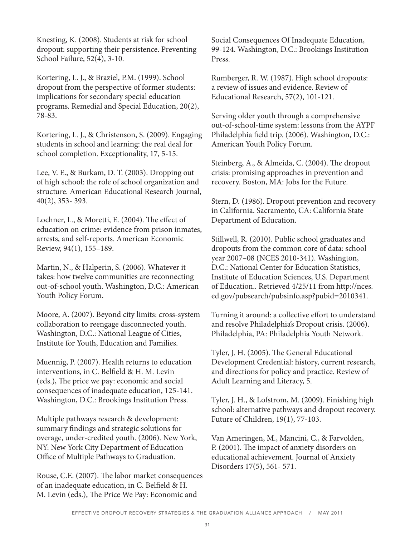Knesting, K. (2008). Students at risk for school dropout: supporting their persistence. Preventing School Failure, 52(4), 3-10.

Kortering, L. J., & Braziel, P.M. (1999). School dropout from the perspective of former students: implications for secondary special education programs. Remedial and Special Education, 20(2), 78-83.

Kortering, L. J., & Christenson, S. (2009). Engaging students in school and learning: the real deal for school completion. Exceptionality, 17, 5-15.

Lee, V. E., & Burkam, D. T. (2003). Dropping out of high school: the role of school organization and structure. American Educational Research Journal, 40(2), 353- 393.

Lochner, L., & Moretti, E. (2004). The effect of education on crime: evidence from prison inmates, arrests, and self-reports. American Economic Review, 94(1), 155–189.

Martin, N., & Halperin, S. (2006). Whatever it takes: how twelve communities are reconnecting out-of-school youth. Washington, D.C.: American Youth Policy Forum.

Moore, A. (2007). Beyond city limits: cross-system collaboration to reengage disconnected youth. Washington, D.C.: National League of Cities, Institute for Youth, Education and Families.

Muennig, P. (2007). Health returns to education interventions, in C. Belfield & H. M. Levin (eds.), The price we pay: economic and social consequences of inadequate education, 125-141. Washington, D.C.: Brookings Institution Press.

Multiple pathways research & development: summary findings and strategic solutions for overage, under-credited youth. (2006). New York, NY: New York City Department of Education Office of Multiple Pathways to Graduation.

Rouse, C.E. (2007). The labor market consequences of an inadequate education, in C. Belfield & H. M. Levin (eds.), The Price We Pay: Economic and

Social Consequences Of Inadequate Education, 99-124. Washington, D.C.: Brookings Institution Press.

Rumberger, R. W. (1987). High school dropouts: a review of issues and evidence. Review of Educational Research, 57(2), 101-121.

Serving older youth through a comprehensive out-of-school-time system: lessons from the AYPF Philadelphia field trip. (2006). Washington, D.C.: American Youth Policy Forum.

Steinberg, A., & Almeida, C. (2004). The dropout crisis: promising approaches in prevention and recovery. Boston, MA: Jobs for the Future.

Stern, D. (1986). Dropout prevention and recovery in California. Sacramento, CA: California State Department of Education.

Stillwell, R. (2010). Public school graduates and dropouts from the common core of data: school year 2007–08 (NCES 2010-341). Washington, D.C.: National Center for Education Statistics, Institute of Education Sciences, U.S. Department of Education.. Retrieved 4/25/11 from http://nces. ed.gov/pubsearch/pubsinfo.asp?pubid=2010341.

Turning it around: a collective effort to understand and resolve Philadelphia's Dropout crisis. (2006). Philadelphia, PA: Philadelphia Youth Network.

Tyler, J. H. (2005). The General Educational Development Credential: history, current research, and directions for policy and practice. Review of Adult Learning and Literacy, 5.

Tyler, J. H., & Lofstrom, M. (2009). Finishing high school: alternative pathways and dropout recovery. Future of Children, 19(1), 77-103.

Van Ameringen, M., Mancini, C., & Farvolden, P. (2001). The impact of anxiety disorders on educational achievement. Journal of Anxiety Disorders 17(5), 561- 571.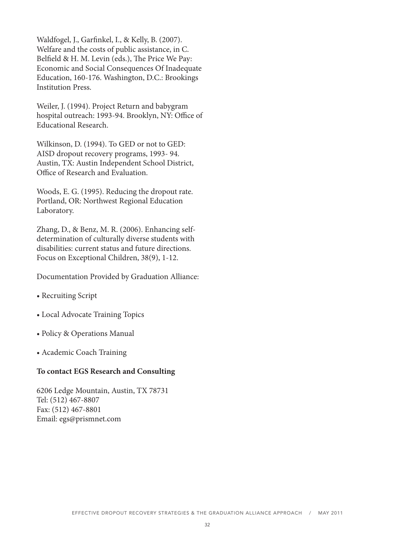Waldfogel, J., Garfinkel, I., & Kelly, B. (2007). Welfare and the costs of public assistance, in C. Belfield & H. M. Levin (eds.), The Price We Pay: Economic and Social Consequences Of Inadequate Education, 160-176. Washington, D.C.: Brookings Institution Press.

Weiler, J. (1994). Project Return and babygram hospital outreach: 1993-94. Brooklyn, NY: Office of Educational Research.

Wilkinson, D. (1994). To GED or not to GED: AISD dropout recovery programs, 1993- 94. Austin, TX: Austin Independent School District, Office of Research and Evaluation.

Woods, E. G. (1995). Reducing the dropout rate. Portland, OR: Northwest Regional Education Laboratory.

Zhang, D., & Benz, M. R. (2006). Enhancing selfdetermination of culturally diverse students with disabilities: current status and future directions. Focus on Exceptional Children, 38(9), 1-12.

Documentation Provided by Graduation Alliance:

- Recruiting Script
- Local Advocate Training Topics
- Policy & Operations Manual
- Academic Coach Training

#### **To contact EGS Research and Consulting**

6206 Ledge Mountain, Austin, TX 78731 Tel: (512) 467-8807 Fax: (512) 467-8801 Email: egs@prismnet.com